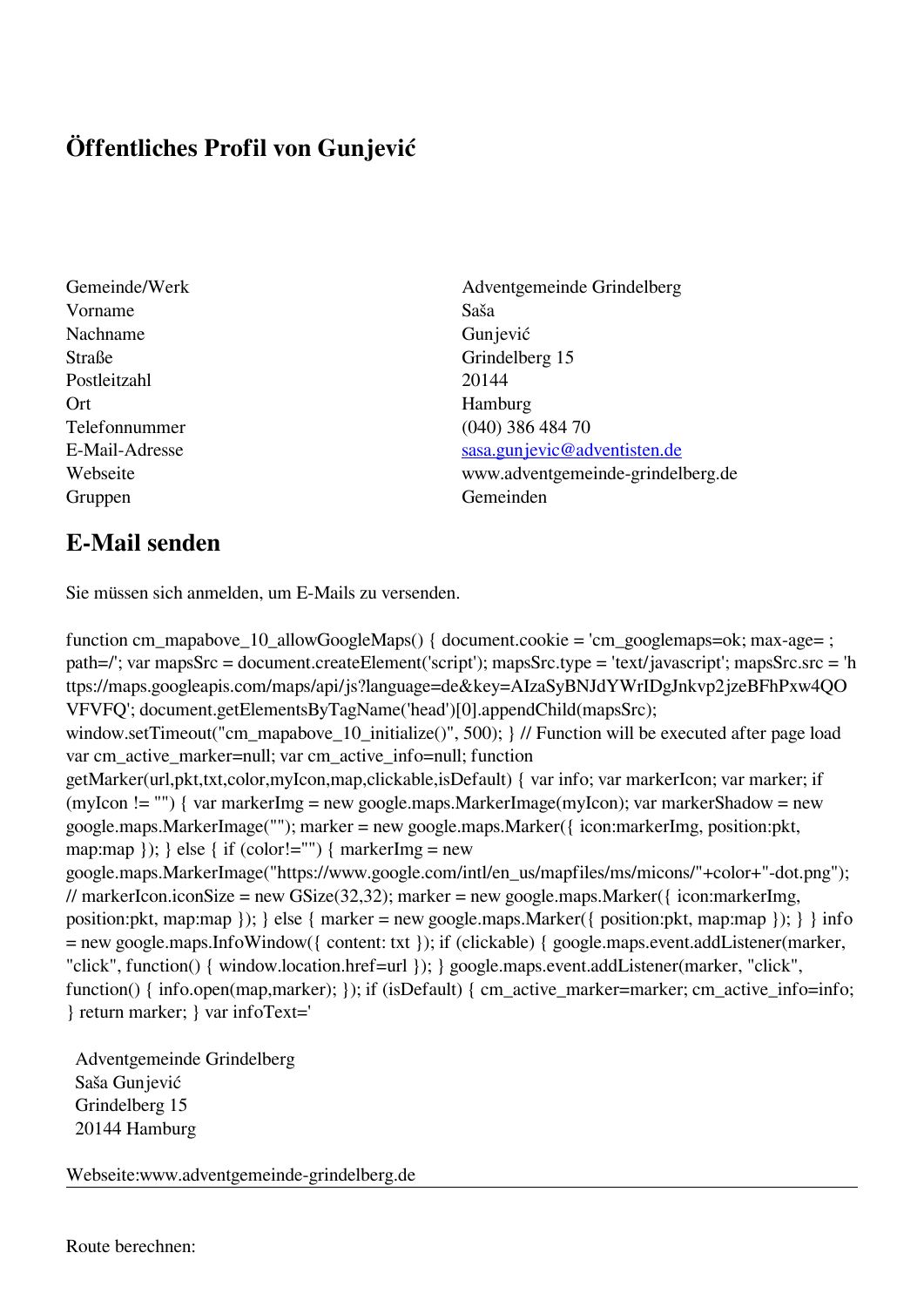## **Öffentliches Profil von Gunjević**

- Vorname Saša Nachname Gunjević Straße Grindelberg 15 Postleitzahl 20144 Ort Hamburg Gruppen Gemeinden Gemeinden Gemeinden Gemeinden Gemeinden Gemeinden Gemeinden Gemeinden Gemeinden Gemeinden G
- Gemeinde/Werk Adventgemeinde Grindelberg Telefonnummer (040) 386 484 70 E-Mail-Adresse [sasa.gunjevic@adventisten.de](mailto:sasa.gunjevic@adventisten.de) Webseite www.adventgemeinde-grindelberg.de

## **E-Mail senden**

Sie müssen sich anmelden, um E-Mails zu versenden.

function cm\_mapabove\_10\_allowGoogleMaps() { document.cookie = 'cm\_googlemaps=ok; max-age= ; path=/'; var mapsSrc = document.createElement('script'); mapsSrc.type = 'text/javascript'; mapsSrc.src = 'h ttps://maps.googleapis.com/maps/api/js?language=de&key=AIzaSyBNJdYWrIDgJnkvp2jzeBFhPxw4QO VFVFQ'; document.getElementsByTagName('head')[0].appendChild(mapsSrc); window.setTimeout("cm\_mapabove\_10\_initialize()", 500); } // Function will be executed after page load var cm\_active\_marker=null; var cm\_active\_info=null; function getMarker(url,pkt,txt,color,myIcon,map,clickable,isDefault) { var info; var markerIcon; var marker; if (myIcon != "") { var markerImg = new google.maps.MarkerImage(myIcon); var markerShadow = new google.maps.MarkerImage(""); marker = new google.maps.Marker({ icon:markerImg, position:pkt, map:map  $\}$ ;  $\}$  else  $\{$  if (color!="")  $\{$  markerImg = new google.maps.MarkerImage("https://www.google.com/intl/en\_us/mapfiles/ms/micons/"+color+"-dot.png"); // markerIcon.iconSize = new GSize(32,32); marker = new google.maps.Marker({ $\epsilon$  icon:markerImg, position:pkt, map:map }); } else { marker = new google.maps.Marker({ position:pkt, map:map }); } } info = new google.maps.InfoWindow({ content: txt }); if (clickable) { google.maps.event.addListener(marker, "click", function() { window.location.href=url }); } google.maps.event.addListener(marker, "click", function() { info.open(map,marker); }); if (isDefault) { cm\_active\_marker=marker; cm\_active\_info=info; } return marker; } var infoText='

 Adventgemeinde Grindelberg Saša Gunjević Grindelberg 15 20144 Hamburg

Webseite:www.adventgemeinde-grindelberg.de